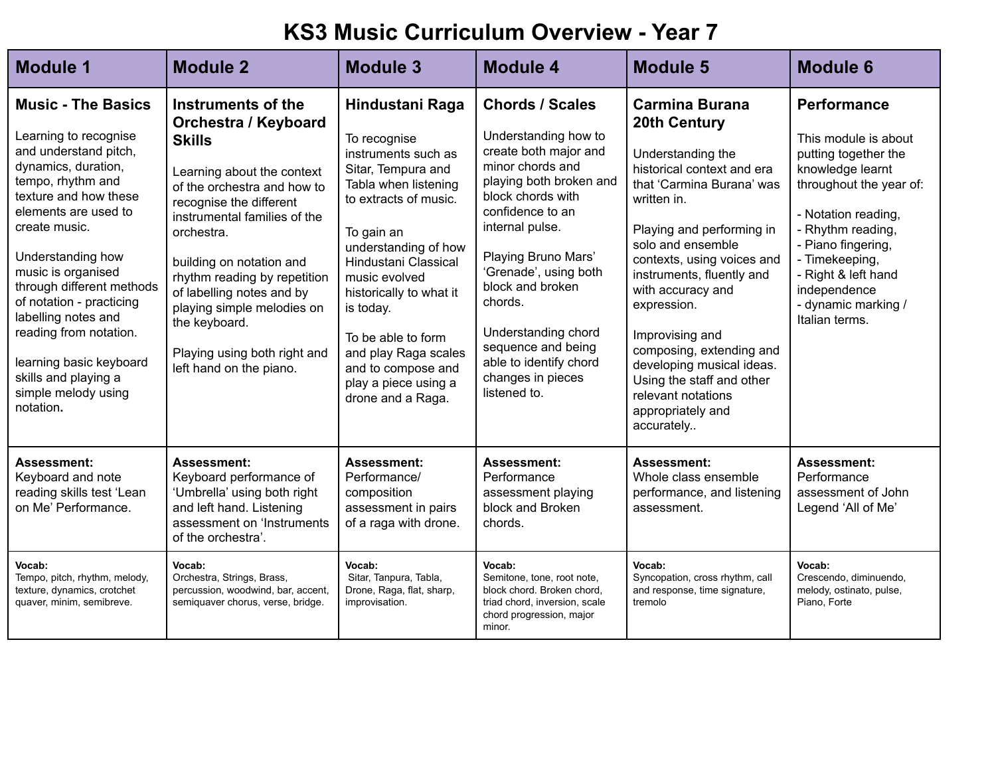## **KS3 Music Curriculum Overview - Year 7**

| <b>Module 1</b>                                                                                                                                                                                                                                                                                                                                                                                                                       | <b>Module 2</b>                                                                                                                                                                                                                                                                                                                                                                                             | <b>Module 3</b>                                                                                                                                                                                                                                                                                                                                                       | <b>Module 4</b>                                                                                                                                                                                                                                                                                                                                                               | <b>Module 5</b>                                                                                                                                                                                                                                                                                                                                                                                                                                                | <b>Module 6</b>                                                                                                                                                                                                                                                                       |
|---------------------------------------------------------------------------------------------------------------------------------------------------------------------------------------------------------------------------------------------------------------------------------------------------------------------------------------------------------------------------------------------------------------------------------------|-------------------------------------------------------------------------------------------------------------------------------------------------------------------------------------------------------------------------------------------------------------------------------------------------------------------------------------------------------------------------------------------------------------|-----------------------------------------------------------------------------------------------------------------------------------------------------------------------------------------------------------------------------------------------------------------------------------------------------------------------------------------------------------------------|-------------------------------------------------------------------------------------------------------------------------------------------------------------------------------------------------------------------------------------------------------------------------------------------------------------------------------------------------------------------------------|----------------------------------------------------------------------------------------------------------------------------------------------------------------------------------------------------------------------------------------------------------------------------------------------------------------------------------------------------------------------------------------------------------------------------------------------------------------|---------------------------------------------------------------------------------------------------------------------------------------------------------------------------------------------------------------------------------------------------------------------------------------|
| <b>Music - The Basics</b><br>Learning to recognise<br>and understand pitch,<br>dynamics, duration,<br>tempo, rhythm and<br>texture and how these<br>elements are used to<br>create music.<br>Understanding how<br>music is organised<br>through different methods<br>of notation - practicing<br>labelling notes and<br>reading from notation.<br>learning basic keyboard<br>skills and playing a<br>simple melody using<br>notation. | Instruments of the<br><b>Orchestra / Keyboard</b><br><b>Skills</b><br>Learning about the context<br>of the orchestra and how to<br>recognise the different<br>instrumental families of the<br>orchestra.<br>building on notation and<br>rhythm reading by repetition<br>of labelling notes and by<br>playing simple melodies on<br>the keyboard.<br>Playing using both right and<br>left hand on the piano. | Hindustani Raga<br>To recognise<br>instruments such as<br>Sitar, Tempura and<br>Tabla when listening<br>to extracts of music.<br>To gain an<br>understanding of how<br>Hindustani Classical<br>music evolved<br>historically to what it<br>is today.<br>To be able to form<br>and play Raga scales<br>and to compose and<br>play a piece using a<br>drone and a Raga. | <b>Chords / Scales</b><br>Understanding how to<br>create both major and<br>minor chords and<br>playing both broken and<br>block chords with<br>confidence to an<br>internal pulse.<br>Playing Bruno Mars'<br>'Grenade', using both<br>block and broken<br>chords.<br>Understanding chord<br>sequence and being<br>able to identify chord<br>changes in pieces<br>listened to. | <b>Carmina Burana</b><br><b>20th Century</b><br>Understanding the<br>historical context and era<br>that 'Carmina Burana' was<br>written in.<br>Playing and performing in<br>solo and ensemble<br>contexts, using voices and<br>instruments, fluently and<br>with accuracy and<br>expression.<br>Improvising and<br>composing, extending and<br>developing musical ideas.<br>Using the staff and other<br>relevant notations<br>appropriately and<br>accurately | <b>Performance</b><br>This module is about<br>putting together the<br>knowledge learnt<br>throughout the year of:<br>- Notation reading,<br>- Rhythm reading,<br>- Piano fingering,<br>- Timekeeping,<br>- Right & left hand<br>independence<br>- dynamic marking /<br>Italian terms. |
| Assessment:<br>Keyboard and note<br>reading skills test 'Lean<br>on Me' Performance.                                                                                                                                                                                                                                                                                                                                                  | Assessment:<br>Keyboard performance of<br>'Umbrella' using both right<br>and left hand. Listening<br>assessment on 'Instruments'<br>of the orchestra'.                                                                                                                                                                                                                                                      | <b>Assessment:</b><br>Performance/<br>composition<br>assessment in pairs<br>of a raga with drone.                                                                                                                                                                                                                                                                     | Assessment:<br>Performance<br>assessment playing<br>block and Broken<br>chords.                                                                                                                                                                                                                                                                                               | <b>Assessment:</b><br>Whole class ensemble<br>performance, and listening<br>assessment.                                                                                                                                                                                                                                                                                                                                                                        | Assessment:<br>Performance<br>assessment of John<br>Legend 'All of Me'                                                                                                                                                                                                                |
| Vocab:<br>Tempo, pitch, rhythm, melody,<br>texture, dynamics, crotchet<br>quaver, minim, semibreve.                                                                                                                                                                                                                                                                                                                                   | Vocab:<br>Orchestra, Strings, Brass,<br>percussion, woodwind, bar, accent,<br>semiquaver chorus, verse, bridge.                                                                                                                                                                                                                                                                                             | Vocab:<br>Sitar, Tanpura, Tabla,<br>Drone, Raga, flat, sharp,<br>improvisation.                                                                                                                                                                                                                                                                                       | Vocab:<br>Semitone, tone, root note,<br>block chord. Broken chord,<br>triad chord, inversion, scale<br>chord progression, major<br>minor.                                                                                                                                                                                                                                     | Vocab:<br>Syncopation, cross rhythm, call<br>and response, time signature,<br>tremolo                                                                                                                                                                                                                                                                                                                                                                          | Vocab:<br>Crescendo, diminuendo,<br>melody, ostinato, pulse,<br>Piano, Forte                                                                                                                                                                                                          |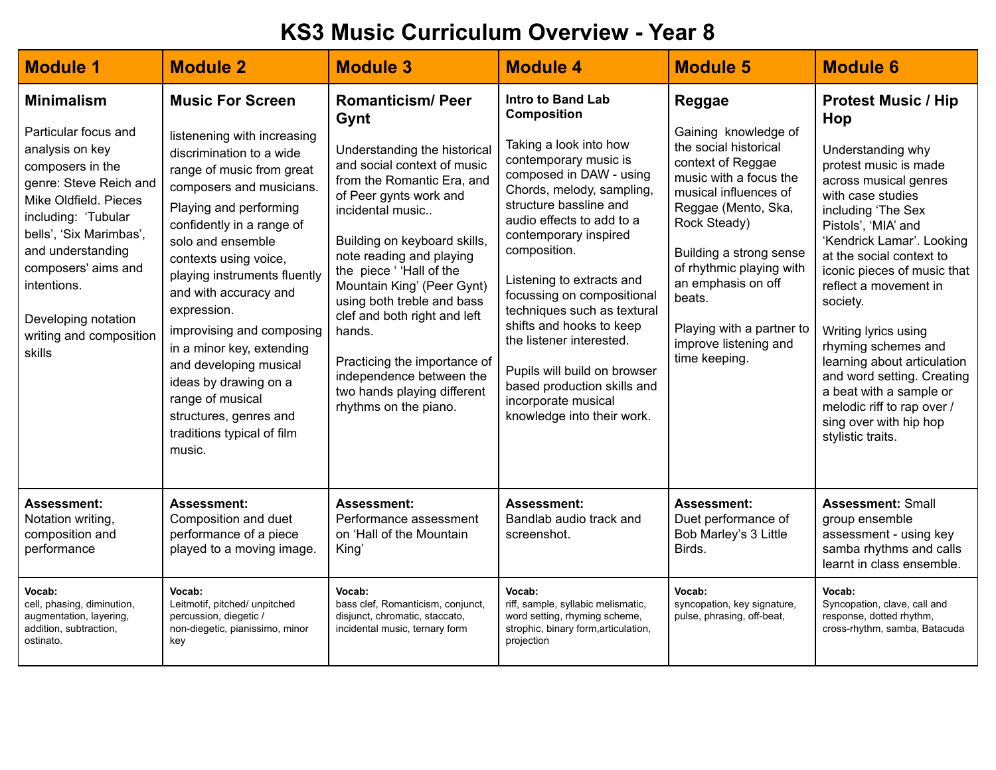## **KS3 Music Curriculum Overview - Year 8**

| <b>Module 1</b>                                                                                                                                                                                                                                                                                              | <b>Module 2</b>                                                                                                                                                                                                                                                                                                                                                                                                                                                                                                             | <b>Module 3</b>                                                                                                                                                                                                                                                                                                                                                                                                                                                                              | <b>Module 4</b>                                                                                                                                                                                                                                                                                                                                                                                                                                                                                                                 | <b>Module 5</b>                                                                                                                                                                                                                                                                                                                             | <b>Module 6</b>                                                                                                                                                                                                                                                                                                                                                                                                                                                                                                             |
|--------------------------------------------------------------------------------------------------------------------------------------------------------------------------------------------------------------------------------------------------------------------------------------------------------------|-----------------------------------------------------------------------------------------------------------------------------------------------------------------------------------------------------------------------------------------------------------------------------------------------------------------------------------------------------------------------------------------------------------------------------------------------------------------------------------------------------------------------------|----------------------------------------------------------------------------------------------------------------------------------------------------------------------------------------------------------------------------------------------------------------------------------------------------------------------------------------------------------------------------------------------------------------------------------------------------------------------------------------------|---------------------------------------------------------------------------------------------------------------------------------------------------------------------------------------------------------------------------------------------------------------------------------------------------------------------------------------------------------------------------------------------------------------------------------------------------------------------------------------------------------------------------------|---------------------------------------------------------------------------------------------------------------------------------------------------------------------------------------------------------------------------------------------------------------------------------------------------------------------------------------------|-----------------------------------------------------------------------------------------------------------------------------------------------------------------------------------------------------------------------------------------------------------------------------------------------------------------------------------------------------------------------------------------------------------------------------------------------------------------------------------------------------------------------------|
| <b>Minimalism</b><br>Particular focus and<br>analysis on key<br>composers in the<br>genre: Steve Reich and<br>Mike Oldfield, Pieces<br>including: 'Tubular<br>bells', 'Six Marimbas',<br>and understanding<br>composers' aims and<br>intentions.<br>Developing notation<br>writing and composition<br>skills | <b>Music For Screen</b><br>listenening with increasing<br>discrimination to a wide<br>range of music from great<br>composers and musicians.<br>Playing and performing<br>confidently in a range of<br>solo and ensemble<br>contexts using voice,<br>playing instruments fluently<br>and with accuracy and<br>expression.<br>improvising and composing<br>in a minor key, extending<br>and developing musical<br>ideas by drawing on a<br>range of musical<br>structures, genres and<br>traditions typical of film<br>music. | <b>Romanticism/Peer</b><br>Gynt<br>Understanding the historical<br>and social context of music<br>from the Romantic Era, and<br>of Peer gynts work and<br>incidental music<br>Building on keyboard skills,<br>note reading and playing<br>the piece ' 'Hall of the<br>Mountain King' (Peer Gynt)<br>using both treble and bass<br>clef and both right and left<br>hands.<br>Practicing the importance of<br>independence between the<br>two hands playing different<br>rhythms on the piano. | <b>Intro to Band Lab</b><br><b>Composition</b><br>Taking a look into how<br>contemporary music is<br>composed in DAW - using<br>Chords, melody, sampling,<br>structure bassline and<br>audio effects to add to a<br>contemporary inspired<br>composition.<br>Listening to extracts and<br>focussing on compositional<br>techniques such as textural<br>shifts and hooks to keep<br>the listener interested.<br>Pupils will build on browser<br>based production skills and<br>incorporate musical<br>knowledge into their work. | <b>Reggae</b><br>Gaining knowledge of<br>the social historical<br>context of Reggae<br>music with a focus the<br>musical influences of<br>Reggae (Mento, Ska,<br>Rock Steady)<br>Building a strong sense<br>of rhythmic playing with<br>an emphasis on off<br>beats.<br>Playing with a partner to<br>improve listening and<br>time keeping. | <b>Protest Music / Hip</b><br>Hop<br>Understanding why<br>protest music is made<br>across musical genres<br>with case studies<br>including 'The Sex<br>Pistols', 'MIA' and<br>'Kendrick Lamar'. Looking<br>at the social context to<br>iconic pieces of music that<br>reflect a movement in<br>society.<br>Writing lyrics using<br>rhyming schemes and<br>learning about articulation<br>and word setting. Creating<br>a beat with a sample or<br>melodic riff to rap over /<br>sing over with hip hop<br>stylistic traits. |
| <b>Assessment:</b><br>Notation writing,<br>composition and<br>performance                                                                                                                                                                                                                                    | <b>Assessment:</b><br>Composition and duet<br>performance of a piece<br>played to a moving image.                                                                                                                                                                                                                                                                                                                                                                                                                           | <b>Assessment:</b><br>Performance assessment<br>on 'Hall of the Mountain<br>King                                                                                                                                                                                                                                                                                                                                                                                                             | <b>Assessment:</b><br>Bandlab audio track and<br>screenshot.                                                                                                                                                                                                                                                                                                                                                                                                                                                                    | <b>Assessment:</b><br>Duet performance of<br>Bob Marley's 3 Little<br>Birds.                                                                                                                                                                                                                                                                | <b>Assessment: Small</b><br>group ensemble<br>assessment - using key<br>samba rhythms and calls<br>learnt in class ensemble.                                                                                                                                                                                                                                                                                                                                                                                                |
| Vocab:<br>cell, phasing, diminution,<br>augmentation, layering,<br>addition, subtraction,<br>ostinato.                                                                                                                                                                                                       | Vocab:<br>Leitmotif, pitched/ unpitched<br>percussion, diegetic /<br>non-diegetic, pianissimo, minor<br>key                                                                                                                                                                                                                                                                                                                                                                                                                 | Vocab:<br>bass clef, Romanticism, conjunct,<br>disjunct, chromatic, staccato,<br>incidental music, ternary form                                                                                                                                                                                                                                                                                                                                                                              | Vocab:<br>riff, sample, syllabic melismatic,<br>word setting, rhyming scheme,<br>strophic, binary form, articulation,<br>projection                                                                                                                                                                                                                                                                                                                                                                                             | Vocab:<br>syncopation, key signature,<br>pulse, phrasing, off-beat,                                                                                                                                                                                                                                                                         | Vocab:<br>Syncopation, clave, call and<br>response, dotted rhythm,<br>cross-rhythm, samba, Batacuda                                                                                                                                                                                                                                                                                                                                                                                                                         |